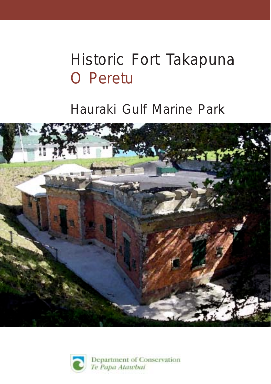# Historic Fort Takapuna O Peretu

# Hauraki Gulf Marine Park





Department of Conservation<br>Te Papa Atawbal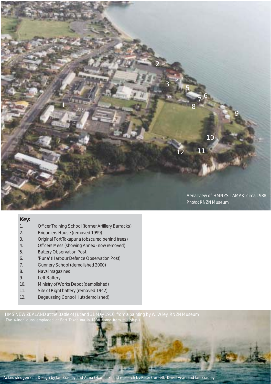

#### **Key:**

- 1. Officer Training School (former Artillery Barracks)
- 2. Brigadiers House (removed 1999)
- 3. Original Fort Takapuna (obscured behind trees)
- 4. Officers Mess (showing Annex now removed)
- 5. Battery Observation Post
- 6. 'Puna' (Harbour Defence Observation Post)
- 7. Gunnery School (demolished 2000)
- 8. Naval magazines
- 9. Left Battery
- 10. Ministry of Works Depot (demolished)
- 11. Site of Right battery (removed 1942)
- 12. Degaussing Control Hut (demolished)

HMS NEW ZEALAND at the Battle of Jutland 31 May 1916, from a painting by W. Wiley. *RNZN Museum*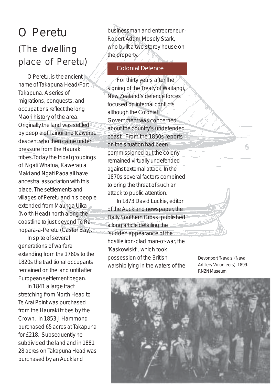# O Peretu (The dwelling place of Peretu)

O Peretu, is the ancient name of Takapuna Head/Fort Takapuna. A series of migrations, conquests, and occupations reflect the long Maori history of the area. Originally the land was settled by people of Tainui and Kawerau descent who then came under pressure from the Hauraki tribes.Today the tribal groupings of Ngati Whatua, Kawerau a Maki and Ngati Paoa all have ancestral association with this place. The settlements and villages of Peretu and his people extended from Maunga Uika (North Head) north along the coastline to just beyond Te Rahopara-a-Peretu (Castor Bay).

In spite of several generations of warfare extending from the 1760s to the 1820s the traditional occupants remained on the land until after European settlement began.

In 1841 a large tract stretching from North Head to Te Arai Point was purchased from the Hauraki tribes by the Crown. In 1853 J Hammond purchased 65 acres at Takapuna for £218. Subsequently he subdivided the land and in 1881 28 acres on Takapuna Head was purchased by an Auckland

businessman and entrepreneur - Robert Adam Mosely Stark, who built a two storey house on the property.

# *Colonial Defence*

For thirty years after fhe signing of the Treaty of Waitangi. New Zealand's defence forces focused on internal conflicts although the Colonial Government was concerned about the country's undefended coast. From the 1850s reports on the situation had been commissioned but the colony remained virtually undefended against external attack. In the 1870s several factors combined to bring the threat of such an attack to public attention.

In 1873 David Luckie, editor of the Auckland newspaper, the *Daily Southern Cross*, published a long article detailing the *'sudden appearance of the hostile iron-clad man-of-war, the 'Kaskowiski', which took possession of the British warship lying in the waters of the*

Devonport 'Navals' (Naval Artillery Volunteers), 1899. *RNZN Museum*

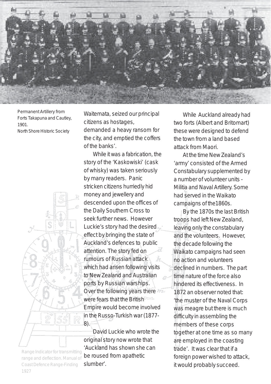

Permanent Artillery from Forts Takapuna and Cautley, 1901. *North Shore Historic Society*

*Waitemata, seized our principal citizens as hostages, demanded a heavy ransom for the city, and emptied the coffers of the banks'.*

While it was a fabrication, the story of the 'Kaskowiski' (cask of whisky) was taken seriously by many readers. Panic stricken citizens hurriedly hid money and jewellery and descended upon the offices of the *Daily Southern Cross* to seek further news. However Luckie's story had the desired effect by bringing the state of Auckland's defences to public attention. The story fed on rumours of Russian attack which had arisen following visits to New Zealand and Australian ports by Russian warships. Over the following years there were fears that the British<sup>DTAT</sup> Empire would become involved in the Russo-Turkish war (1877- 8).

David Luckie who wrote the original story now wrote that *'Auckland has shown she can be roused from apathetic slumber'.*

While Auckland already had two forts (Albert and Britomart) these were designed to defend the town from a land based attack from Maori.

At the time New Zealand's 'army' consisted of the Armed Constabulary supplemented by a number of volunteer units - Militia and Naval Artillery. Some had served in the Waikato campaigns of the1860s.

By the 1870s the last British troops had left New Zealand, leaving only the constabulary and the volunteers. However, the decade following the Waikato campaigns had seen no action and volunteers declined in numbers. The part time nature of the force also hindered its effectiveness. In 1872 an observer noted that: *'the muster of the Naval Corps was meagre but there is much difficulty in assembling the members of these corps together at one time as so many are employed in the coasting trade'.* It was clear that if a foreign power wished to attack, it would probably succeed.

Range Indicator for transmitting range and deflection. *Manual of Coast Defence Range-Finding 1927*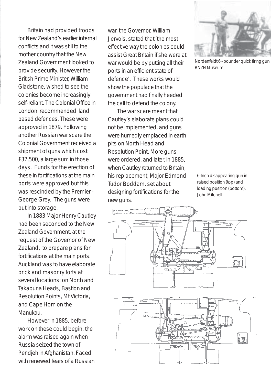Britain had provided troops for New Zealand's earlier internal conflicts and it was still to the mother country that the New Zealand Government looked to provide security. However the British Prime Minister, William Gladstone, wished to see the colonies become increasingly self-reliant. The Colonial Office in London recommended land based defences. These were approved in 1879. Following another Russian war scare the Colonial Government received a shipment of guns which cost £37,500, a large sum in those days. Funds for the erection of these in fortifications at the main ports were approved but this was rescinded by the Premier - George Grey. The guns were put into storage.

In 1883 Major Henry Cautley had been seconded to the New Zealand Government, at the request of the Governor of New Zealand, to prepare plans for fortifications at the main ports. Auckland was to have elaborate brick and masonry forts at several locations: on North and Takapuna Heads, Bastion and Resolution Points, Mt Victoria, and Cape Horn on the Manukau.

However in 1885, before work on these could begin, the alarm was raised again when Russia seized the town of Pendjeh in Afghanistan. Faced with renewed fears of a Russian war, the Governor, William Jervois, stated that *'the most effective way the colonies could assist Great Britain if she were at war would be by putting all their ports in an efficient state of defence'.* These works would show the populace that the government had finally heeded the call to defend the colony.

The war scare meant that Cautley's elaborate plans could not be implemented, and guns were hurriedly emplaced in earth pits on North Head and Resolution Point. More guns were ordered, and later, in 1885, when Cautley returned to Britain, his replacement, Major Edmond Tudor Boddam, set about designing fortifications for the new guns.



Nordenfeldt 6 - pounder quick firing gun *RNZN Museum*

6-Inch disappearing gun in raised position (top) and loading position (bottom). *John Mitchell*

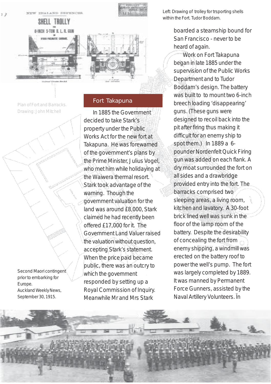





Plan of Fort and Barracks. *Drawing: John Mitchell*

Second Maori contingent prior to embarking for Europe. *Auckland Weekly News, September 30, 1915.*

# *Fort Takapuna*

In 1885 the Government decided to take Stark's property under the Public Works Act for the new fort at Takapuna. He was forewarned of the government's plans by the Prime Minister, Julius Vogel, who met him while holidaying at the Waiwera thermal resort. Stark took advantage of the warning. Though the government valuation for the land was around £8,000, Stark claimed he had recently been offered £17,000 for it. The Government Land Valuer raised the valuation without question, accepting Stark's statement. When the price paid became public, there was an outcry to which the government responded by setting up a Royal Commission of Inquiry. Meanwhile Mr and Mrs Stark

Left: Drawing of trolley for trsporting shells within the Fort. *Tudor Boddam.*

> boarded a steamship bound for San Francisco - never to be heard of again.

Work on Fort Takapuna began in late 1885 under the supervision of the Public Works Department and to Tudor Boddam's design. The battery was built to to mount two 6-inch breech loading 'disappearing' guns. (These guns were designed to recoil back into the pit after firing thus making it difficult for an enemy ship to spot them.) In 1889 a 6pounder Nordenfelt Quick Firing gun was added on each flank. A dry moat surrounded the fort on all sides and a drawbridge provided entry into the fort. The barracks comprised two sleeping areas, a living room, kitchen and lavatory. A 30-foot brick lined well was sunk in the floor of the lamp room of the battery. Despite the desirability of concealing the fort from enemy shipping, a windmill was erected on the battery roof to power the well's pump. The fort was largely completed by 1889. It was manned by Permanent Force Gunners, assisted by the Naval Artillery Volunteers. Ïn

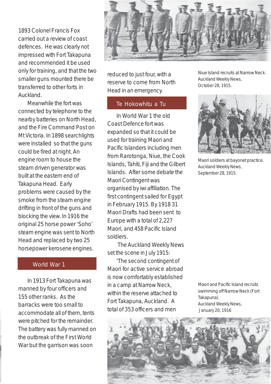1893 Colonel Francis Fox carried out a review of coast defences. He was clearly not impressed with Fort Takapuna and recommended it be used only for training, and that the two smaller guns mounted there be transferred to other forts in Auckland.

Meanwhile the fort was connected by telephone to the nearby batteries on North Head, and the Fire Command Post on Mt Victoria. In 1898 searchlights were installed so that the guns could be fired at night. An engine room to house the steam driven generator was built at the eastern end of Takapuna Head. Early problems were caused by the smoke from the steam engine drifting in front of the guns and blocking the view. In 1916 the original 25 horse power 'Soho' steam engine was sent to North Head and replaced by two 25 horsepower kerosene engines.

#### World War 1

In 1913 Fort Takapuna was manned by four officers and 155 other ranks. As the barracks were too small to accommodate all of them, tents were pitched for the remainder. The battery was fully manned on the outbreak of the First World War but the garrison was soon



reduced to just four, with a reserve to come from North Head in an emergency.

#### Te Hokowhitu a Tu

In World War 1 the old Coast Defence fort was expanded so that it could be used for training Maori and Pacific Islanders including men from Rarotonga, Niue, the Cook Islands, Tahiti, Fiji and the Gilbert Islands. After some debate the Maori Contingent was organised by iwi affiliation. The first contingent sailed for Egypt in February 1915. By 1918 31 Maori Drafts had been sent to Europe with a total of 2,227 Maori, and 458 Pacific Island soldiers.

 The Auckland Weekly News set the scene in July 1915:

*'The second contingent of Maori for active service abroad is now comfortably established in a camp at Narrow Neck, within the reserve attached to Fort Takapuna, Auckland. A total of 353 officers and men*

Niue Island recruits at Narrow Neck. *Auckland Weekly News, October 28, 1915.*



Maori soldiers at bayonet practice. *Auckland Weekly News, September 28, 1915.*

Maori and Pacific Island recruits swimming off Narrow Neck (Fort Takapuna). *Auckland Weekly News, January 20, 1916*

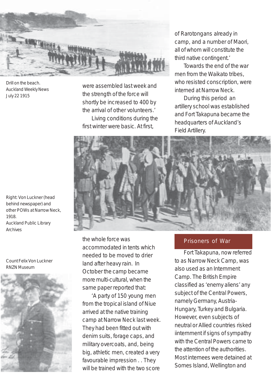

Drill on the beach. *Auckland Weekly News July 22 1915*

*were assembled last week and the strength of the force will shortly be increased to 400 by the arrival of other volunteers.'* Living conditions during the first winter were basic. At first,

*of Rarotongans already in camp, and a number of Maori, all of whom will constitute the third native contingent.'*

Towards the end of the war men from the Waikato tribes who resisted conscription, were interned at Narrow Neck.

During this period an artillery school was established and Fort Takapuna became the headquarters of Auckland's Field Artillery.



Right: Von Luckner (head behind newspaper) and other POWs at Narrow Neck, 1918. *Auckland Public Library Archives*

Count Felix Von Luckner *RNZN Museum*



the whole force was accommodated in tents which needed to be moved to drier land after heavy rain. In October the camp became more multi-cultural, when the same paper reported that:

*'A party of 150 young men from the tropical island of Niue arrived at the native training camp at Narrow Neck last week. They had been fitted out with denim suits, forage caps, and military overcoats, and, being big, athletic men, created a very favourable impression . . They will be trained with the two score*

# Prisoners of War

Fort Takapuna, now referred to as Narrow Neck Camp, was also used as an Internment Camp. The British Empire classified as 'enemy aliens' any subject of the Central Powers, namely Germany, Austria-Hungary, Turkey and Bulgaria. However, even subjects of neutral or Allied countries risked iinternment if signs of sympathy with the Central Powers came to the attention of the authorities. Most internees were detained at Somes Island, Wellington and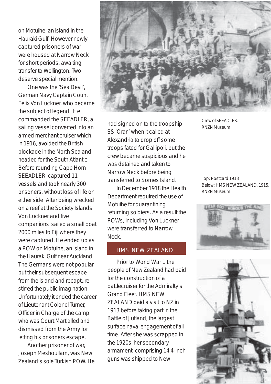on Motuihe, an island in the Hauraki Gulf. However newly captured prisoners of war were housed at Narrow Neck for short periods, awaiting transfer to Wellington. Two deserve special mention.

One was the 'Sea Devil', German Navy Captain Count Felix Von Luckner, who became the subject of legend. He commanded the *SEEADLER,* a sailing vessel converted into an armed merchant cruiser which, in 1916, avoided the British blockade in the North Sea and headed for the South Atlantic. Before rounding Cape Horn *SEEADLER* captured 11 vessels and took nearly 300 prisoners, without loss of life on either side. After being wrecked on a reef at the Society Islands Von Luckner and five companions sailed a small boat 2000 miles to Fiji where they were captured. He ended up as a POW on Motuihe, an island in the Hauraki Gulf near Auckland. The Germans were not popular but their subsequent escape from the island and recapture stirred the public imagination. Unfortunately it ended the career of Lieutenant Colonel Turner, Officer in Charge of the camp who was Court Martialled and dismissed from the Army for letting his prisoners escape.

Another prisoner of war, Joseph Meshoullam, was New Zealand's sole Turkish POW. He



had signed on to the troopship *SS 'Orari'* when it called at Alexandria to drop off some troops fated for Gallipoli, but the crew became suspicious and he was detained and taken to Narrow Neck before being transferred to Somes Island.

In December 1918 the Health Department required the use of Motuihe for quarantining returning soldiers. As a result the POWs, including Von Luckner were transferred to Narrow Neck.

#### HMS NEW ZEALAND

Prior to World War 1 the people of New Zealand had paid for the construction of a battlecruiser for the Admiralty's Grand Fleet. HMS NEW ZEALAND paid a visit to NZ in 1913 before taking part in the Battle of Jutland, the largest surface naval engagement of all time. After she was scrapped in the 1920s her secondary armament, comprising 14 4-inch guns was shipped to New

Crew of *SEEADLER. RNZN Museum*

Below: HMS NEW ZEALAND, 1915. *RNZN Museum* Top: Postcard 1913



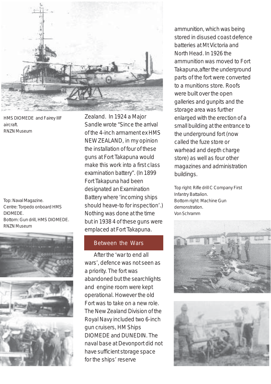

HMS DIOMEDE and Fairey IIIF aircraft. *RNZN Museum*

Top: Naval Magazine. Centre: Torpedo onboard HMS DIOMEDE. Bottom: Gun drill, HMS DIOMEDE. *RNZN Museum*



Zealand. In 1924 a Major Sandle wrote *"Since the arrival of the 4-inch armament ex HMS NEW ZEALAND, in my opinion the installation of four of these guns at Fort Takapuna would make this work into a first class examination battery".* (In 1899 Fort Takapuna had been designated an Examination Battery where *'incoming ships should heave-to for inspection'.*) Nothing was done at the time but in 1938 4 of these guns were emplaced at Fort Takapuna.

## Between the Wars

After the 'war to end all wars', defence was not seen as a priority. The fort was abandoned but the searchlights and engine room were kept operational. However the old Fort was to take on a new role. The New Zealand Division of the Royal Navy included two 6-inch gun cruisers, HM Ships DIOMEDE and DUNEDIN. The naval base at Devonport did not have sufficient storage space for the ships' reserve

ammunition, which was being stored in disused coast defence batteries at Mt Victoria and North Head. In 1926 the ammunition was moved to Fort Takapuna,after the underground parts of the fort were converted to a munitions store. Roofs were built over the open galleries and gunpits and the storage area was further enlarged with the erection of a small building at the entrance to the underground fort (now called the fuze store or warhead and depth charge store) as well as four other magazines and administration buildings.

Top right: Rifle drill C Company First Infantry Battalion. Bottom right: Machine Gun demonstration. *Von Schramm*



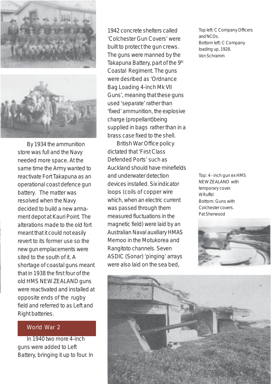



By 1934 the ammunition store was full and the Navy needed more space. At the same time the Army wanted to reactivate Fort Takapuna as an operational coast defence gun battery. The matter was resolved when the Navy decided to build a new armament depot at Kauri Point. The alterations made to the old fort meant that it could not easily revert to its former use so the new gun emplacements were sited to the south of it. A shortage of coastal guns meant that in 1938 the first four of the old HMS NEW ZEALAND guns were reactivated and installed at opposite ends of the rugby field and referred to as Left and Right batteries.

## World War 2

In 1940 two more 4-inch guns were added to Left Battery, bringing it up to four. In

1942 concrete shelters called 'Colchester Gun Covers' were built to protect the gun crews. The guns were manned by the Takapuna Battery, part of the 9<sup>th</sup> Coastal Regiment. The guns were desribed as 'Ordnance Bag Loading 4-inch Mk VII Guns', meaning that these guns used 'separate' rather than 'fixed' ammunition, the explosive charge (propellant)being supplied in bags rather than in a brass case fixed to the shell.

British War Office policy dictated that 'First Class Defended Ports' such as Auckland should have minefields and underwater detection devices installed. Six indicator loops (coils of copper wire which, when an electric current was passed through them measured fluctuations in the magnetic field) were laid by an Australian Naval auxiliary *HMAS Mernoo* in the Motukorea and Rangitoto channels. Seven ASDIC (Sonar) 'pinging' arrays were also laid on the sea bed,

Top left: C Company Officers and NCOs. Bottom left: C Company loading up, 1928. *Von Schramm*

Top: 4 - inch gun ex HMS NEW ZEALAND with temporary cover. *W Ruffel* Bottom: Guns with Colchester covers. *Pat Sherwood*



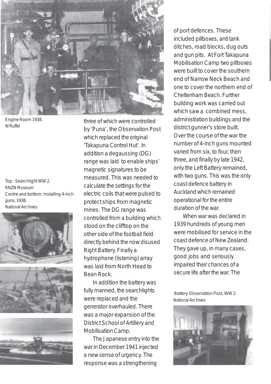

Engine Room 1938. *W Ruffel*

Top : Searchlight WW 2. *RNZN Museum* Centre and bottom: Installing 4-inch guns, 1938. *National Archives*





three of which were controlled by 'Puna', the Observation Post which replaced the original 'Takapuna Control Hut'. In addition a degaussing (DG) range was laid to enable ships' magnetic signatures to be measured. This was needed to calculate the settings for the electric coils that were pulsed to protect ships from magnetic mines. The DG range was controlled from a building which stood on the clifftop on the other side of the football field directly behind the now disused Right Battery. Finally a hydrophone (listening) array was laid from North Head to Bean Rock.

In addition the battery was fully manned, the searchlights were replaced and the generator overhauled. There was a major expansion of the District School of Artillery and Mobilisation Camp.

The Japanese entry into the war in December 1941 injected a new sense of urgency. The response was a strengthening

of port defences. These included pillboxes, anti tank ditches, road blocks, dug outs and gun pits. At Fort Takapuna Mobilisation Camp two pillboxes were built to cover the southern end of Narrow Neck Beach and one to cover the northern end of Cheltenham Beach. Further building work was carried out which saw a combined mess, administration buildings and the district gunner's store built. Over the course of the war the number of 4-inch guns mounted varied from six, to four, then three, and finally by late 1942, only the Left Battery remained, with two guns. This was the only coast defence battery in Auckland which remained operational for the entire duration of the war.

When war was declared in 1939 hundreds of young men were mobilised for service in the coast defence of New Zealand. They gave up, in many cases, good jobs and seriously impaired their chances of a secure life after the war. *The*

 Battery Observation Post, WW 2. *National Archives*

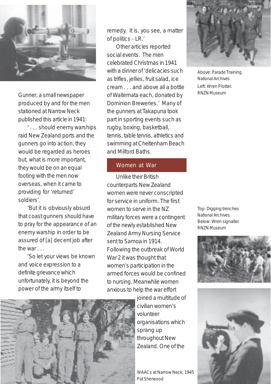

*Gunner*, a small newspaper produced by and for the men stationed at Narrow Neck published this article in 1941:

' *. . . should enemy warships raid New Zealand ports and the gunners go into action, they would be regarded as heroes but, what is more important, they would be on an equal footing with the men now overseas, when it came to providing for 'returned' soldiers'.*

*'But it is obviously absurd that coast gunners should have to pray for the appearance of an enemy warship in order to be assured of [a] decent job after the war . . .*

*'So let your views be known and voice expression to a definite grievance which unfortunately, it is beyond the power of the army itself to*

*remedy. It is, you see, a matter of politics - LR.'*

Other articles reported social events. The men celebrated Christmas in 1941 with a dinner of *'delicacies such as trifles, jellies, fruit salad, ice cream . . . and above all a bottle of Waitemata each, donated by Dominion Breweries.'* Many of the gunners at Takapuna took part in sporting events such as rugby, boxing, basketball, tennis, table tennis, athletics and swimming at Cheltenham Beach and Milford Baths.

### Women at War

Unlike their British counterparts New Zealand women were never conscripted for service in uniform. The first women to serve in the NZ military forces were a contingent of the newly established New Zealand Army Nursing Service sent to Samoa in 1914. Following the outbreak of World War 2 it was thought that women's participation in the armed forces would be confined to nursing. Meanwhile women anxious to help the war effort



joined a multitude of civilian women's volunteer organisations which sprang up throughout New Zealand. One of the

WAACs at Narrow Neck, 1945 *Pat Sherwood*



Above: Parade Training. *National Archives* Left: Wren Plotter. *RNZN Museum*

Top: Digging trenches *National Archives* Below: Wren signaller. *RNZN Museum*



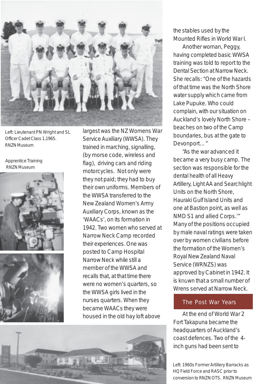

Left: Lieutenant PN Wright and SL Officer Cadet Class 1,1965. *RNZN Museum*

Apprentice Training  *RNZN Museum*





largest was the NZ Womens War Service Auxiliary (WWSA). They trained in marching, signalling, (by morse code, wireless and flag), driving cars and riding motorcycles. Not only were they not paid; they had to buy their own uniforms. Members of the WWSA transferred to the New Zealand Women's Army Auxiliary Corps, known as the 'WAACs', on its formation in 1942. Two women who served at Narrow Neck Camp recorded their experiences. One was posted to Camp Hospital Narrow Neck while still a member of the WWSA and recalls that, at that time there were no women's quarters, so the WWSA girls lived in the nurses quarters. When they became WAACs they were housed in the old hay loft above



the stables used by the Mounted Rifles in World War I.

Another woman, Peggy, having completed basic WWSA training was told to report to the Dental Section at Narrow Neck. *She* recalls: *"One of the hazards of that time was the North Shore water supply which came from Lake Pupuke. Who could complain, with our situation on Auckland's lovely North Shore – beaches on two of the Camp boundaries, bus at the gate to Devonport…"*

*"As the war advanced it became a very busy camp. The section was responsible for the dental health of all Heavy Artillery, Light AA and Searchlight Units on the North Shore, Hauraki Gulf Island Units and one at Bastion point, as well as NMD S1 and allied Corps.'"* Many of the positions occupied by male naval ratings were taken over by women civilians before the formation of the Women's Royal New Zealand Naval Service (WRNZS) was approved by Cabinet in 1942. It is known that a small number of Wrens served at Narrow Neck.

#### The Post War Years

At the end of World War 2 Fort Takapuna became the headquarters of Auckland's coast defences. Two of the 4 inch guns had been sent to

Left: 1960s Former Artillery Barracks as HQ Field Force and RASC prior to conversion to RNZN OTS. *RNZN Museum*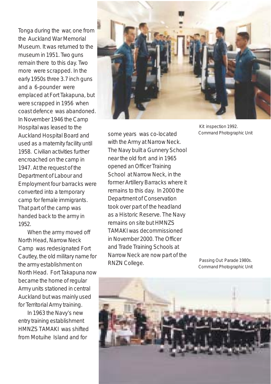Tonga during the war, one from the Auckland War Memorial Museum. It was returned to the museum in 1951. Two guns remain there to this day. Two more were scrapped. In the early 1950s three 3.7 inch guns and a 6-pounder were emplaced at Fort Takapuna, but were scrapped in 1956 when coast defence was abandoned. In November 1946 the Camp Hospital was leased to the Auckland Hospital Board and used as a maternity facility until 1958. Civilian activities further encroached on the camp in 1947. At the request of the Department of Labour and Employment four barracks were converted into a temporary camp for female immigrants. That part of the camp was handed back to the army in 1952.

When the army moved off North Head, Narrow Neck Camp was redesignated Fort Cautley, the old military name for the army establishment on North Head. Fort Takapuna now became the home of regular Army units stationed in central Auckland but was mainly used for Territorial Army training.

In 1963 the Navy's new entry training establishment HMNZS TAMAKI was shifted from Motuihe Island and for



some years was co-located with the Army at Narrow Neck. The Navy built a Gunnery School near the old fort and in 1965 opened an Officer Training School at Narrow Neck, in the former Artillery Barracks where it remains to this day. In 2000 the Department of Conservation took over part of the headland as a Historic Reserve. The Navy remains on site but HMNZS TAMAKI was decommissioned in November 2000. The Officer and Trade Training Schools at Narrow Neck are now part of the RNZN College.

 Kit inspection 1992. **Command Photographic Unit** 

 Passing Out Parade 1980s. *Command Photographic Unit*